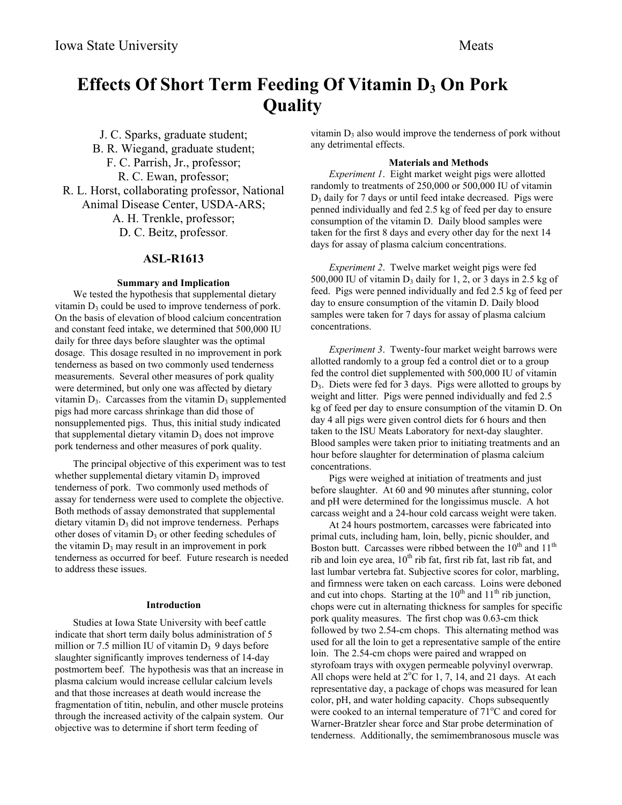# **Effects Of Short Term Feeding Of Vitamin D3 On Pork Quality**

J. C. Sparks, graduate student; B. R. Wiegand, graduate student; F. C. Parrish, Jr., professor; R. C. Ewan, professor; R. L. Horst, collaborating professor, National Animal Disease Center, USDA-ARS; A. H. Trenkle, professor; D. C. Beitz, professor.

# **ASL-R1613**

## **Summary and Implication**

We tested the hypothesis that supplemental dietary vitamin  $D_3$  could be used to improve tenderness of pork. On the basis of elevation of blood calcium concentration and constant feed intake, we determined that 500,000 IU daily for three days before slaughter was the optimal dosage. This dosage resulted in no improvement in pork tenderness as based on two commonly used tenderness measurements. Several other measures of pork quality were determined, but only one was affected by dietary vitamin  $D_3$ . Carcasses from the vitamin  $D_3$  supplemented pigs had more carcass shrinkage than did those of nonsupplemented pigs. Thus, this initial study indicated that supplemental dietary vitamin  $D_3$  does not improve pork tenderness and other measures of pork quality.

The principal objective of this experiment was to test whether supplemental dietary vitamin  $D_3$  improved tenderness of pork. Two commonly used methods of assay for tenderness were used to complete the objective. Both methods of assay demonstrated that supplemental  $d$ ietary vitamin  $D_3$  did not improve tenderness. Perhaps other doses of vitamin  $D_3$  or other feeding schedules of the vitamin  $D_3$  may result in an improvement in pork tenderness as occurred for beef. Future research is needed to address these issues.

#### **Introduction**

Studies at Iowa State University with beef cattle indicate that short term daily bolus administration of 5 million or 7.5 million IU of vitamin  $D_3$  9 days before slaughter significantly improves tenderness of 14-day postmortem beef. The hypothesis was that an increase in plasma calcium would increase cellular calcium levels and that those increases at death would increase the fragmentation of titin, nebulin, and other muscle proteins through the increased activity of the calpain system. Our objective was to determine if short term feeding of

vitamin  $D_3$  also would improve the tenderness of pork without any detrimental effects.

#### **Materials and Methods**

*Experiment 1*. Eight market weight pigs were allotted randomly to treatments of 250,000 or 500,000 IU of vitamin  $D_3$  daily for 7 days or until feed intake decreased. Pigs were penned individually and fed 2.5 kg of feed per day to ensure consumption of the vitamin D. Daily blood samples were taken for the first 8 days and every other day for the next 14 days for assay of plasma calcium concentrations.

*Experiment 2*. Twelve market weight pigs were fed 500,000 IU of vitamin  $D_3$  daily for 1, 2, or 3 days in 2.5 kg of feed. Pigs were penned individually and fed 2.5 kg of feed per day to ensure consumption of the vitamin D. Daily blood samples were taken for 7 days for assay of plasma calcium concentrations.

*Experiment 3*. Twenty-four market weight barrows were allotted randomly to a group fed a control diet or to a group fed the control diet supplemented with 500,000 IU of vitamin D3. Diets were fed for 3 days. Pigs were allotted to groups by weight and litter. Pigs were penned individually and fed 2.5 kg of feed per day to ensure consumption of the vitamin D. On day 4 all pigs were given control diets for 6 hours and then taken to the ISU Meats Laboratory for next-day slaughter. Blood samples were taken prior to initiating treatments and an hour before slaughter for determination of plasma calcium concentrations.

Pigs were weighed at initiation of treatments and just before slaughter. At 60 and 90 minutes after stunning, color and pH were determined for the longissimus muscle. A hot carcass weight and a 24-hour cold carcass weight were taken.

At 24 hours postmortem, carcasses were fabricated into primal cuts, including ham, loin, belly, picnic shoulder, and Boston butt. Carcasses were ribbed between the  $10^{th}$  and  $11^{th}$ rib and loin eye area,  $10^{th}$  rib fat, first rib fat, last rib fat, and last lumbar vertebra fat. Subjective scores for color, marbling, and firmness were taken on each carcass. Loins were deboned and cut into chops. Starting at the  $10<sup>th</sup>$  and  $11<sup>th</sup>$  rib junction, chops were cut in alternating thickness for samples for specific pork quality measures. The first chop was 0.63-cm thick followed by two 2.54-cm chops. This alternating method was used for all the loin to get a representative sample of the entire loin. The 2.54-cm chops were paired and wrapped on styrofoam trays with oxygen permeable polyvinyl overwrap. All chops were held at  $2^{\circ}C$  for 1, 7, 14, and 21 days. At each representative day, a package of chops was measured for lean color, pH, and water holding capacity. Chops subsequently were cooked to an internal temperature of  $71^{\circ}$ C and cored for Warner-Bratzler shear force and Star probe determination of tenderness. Additionally, the semimembranosous muscle was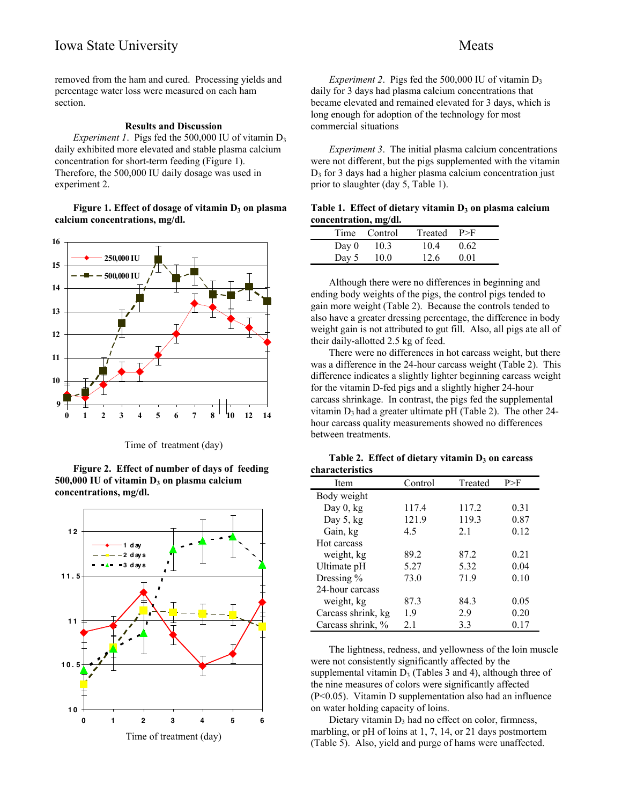removed from the ham and cured. Processing yields and percentage water loss were measured on each ham section.

### **Results and Discussion**

*Experiment 1.* Pigs fed the 500,000 IU of vitamin  $D_3$ daily exhibited more elevated and stable plasma calcium concentration for short-term feeding (Figure 1). Therefore, the 500,000 IU daily dosage was used in experiment 2.

Figure 1. Effect of dosage of vitamin D<sub>3</sub> on plasma **calcium concentrations, mg/dl.**



Time of treatment (day)

**Figure 2. Effect of number of days of feeding** 500,000 IU of vitamin D<sub>3</sub> on plasma calcium **concentrations, mg/dl.**



*Experiment 2.* Pigs fed the 500,000 IU of vitamin  $D_3$ daily for 3 days had plasma calcium concentrations that became elevated and remained elevated for 3 days, which is long enough for adoption of the technology for most commercial situations

*Experiment 3*. The initial plasma calcium concentrations were not different, but the pigs supplemented with the vitamin  $D_3$  for 3 days had a higher plasma calcium concentration just prior to slaughter (day 5, Table 1).

| Table 1. Effect of dietary vitamin $D_3$ on plasma calcium |  |  |
|------------------------------------------------------------|--|--|
| concentration, mg/dl.                                      |  |  |

|       | Time Control | Treated | P>F  |  |
|-------|--------------|---------|------|--|
| Day 0 | 10.3         | 10.4    | 0.62 |  |
| Day 5 | 10.0         | 12.6    | 0.01 |  |

Although there were no differences in beginning and ending body weights of the pigs, the control pigs tended to gain more weight (Table 2). Because the controls tended to also have a greater dressing percentage, the difference in body weight gain is not attributed to gut fill. Also, all pigs ate all of their daily-allotted 2.5 kg of feed.

There were no differences in hot carcass weight, but there was a difference in the 24-hour carcass weight (Table 2). This difference indicates a slightly lighter beginning carcass weight for the vitamin D-fed pigs and a slightly higher 24-hour carcass shrinkage. In contrast, the pigs fed the supplemental vitamin  $D_3$  had a greater ultimate pH (Table 2). The other 24hour carcass quality measurements showed no differences between treatments.

Table 2. Effect of dietary vitamin D<sub>3</sub> on carcass

| characteristics    |         |         |      |  |  |
|--------------------|---------|---------|------|--|--|
| Item               | Control | Treated | P>F  |  |  |
| Body weight        |         |         |      |  |  |
| Day $0, kg$        | 117.4   | 117.2   | 0.31 |  |  |
| Day $5, kg$        | 121.9   | 119.3   | 0.87 |  |  |
| Gain, kg           | 4.5     | 2.1     | 0.12 |  |  |
| Hot carcass        |         |         |      |  |  |
| weight, kg         | 89.2    | 87.2    | 0.21 |  |  |
| Ultimate pH        | 5.27    | 5.32    | 0.04 |  |  |
| Dressing $%$       | 73.0    | 71.9    | 0.10 |  |  |
| 24-hour carcass    |         |         |      |  |  |
| weight, kg         | 87.3    | 84.3    | 0.05 |  |  |
| Carcass shrink, kg | 1.9     | 2.9     | 0.20 |  |  |
| Carcass shrink, %  | 2.1     | 3.3     | 0.17 |  |  |

The lightness, redness, and yellowness of the loin muscle were not consistently significantly affected by the supplemental vitamin  $D_3$  (Tables 3 and 4), although three of the nine measures of colors were significantly affected (P<0.05). Vitamin D supplementation also had an influence on water holding capacity of loins.

Dietary vitamin  $D_3$  had no effect on color, firmness, marbling, or pH of loins at 1, 7, 14, or 21 days postmortem (Table 5). Also, yield and purge of hams were unaffected.